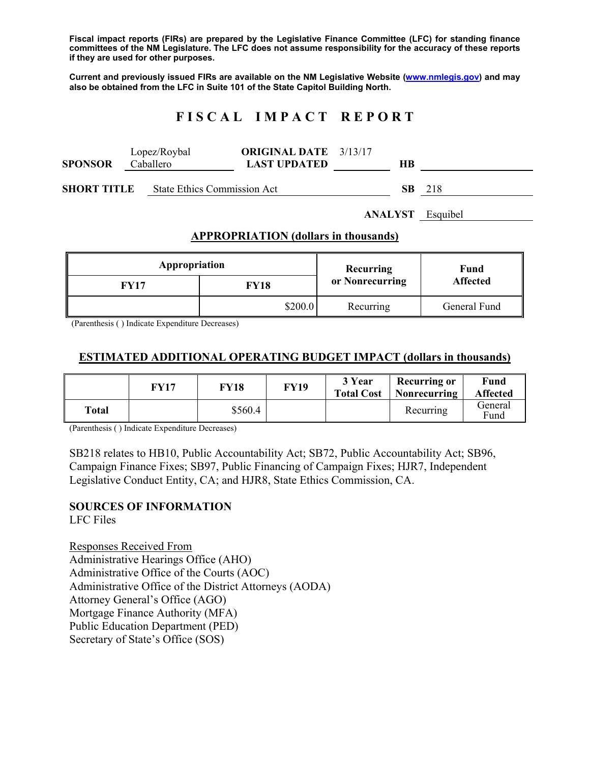**Fiscal impact reports (FIRs) are prepared by the Legislative Finance Committee (LFC) for standing finance committees of the NM Legislature. The LFC does not assume responsibility for the accuracy of these reports if they are used for other purposes.** 

**Current and previously issued FIRs are available on the NM Legislative Website (www.nmlegis.gov) and may also be obtained from the LFC in Suite 101 of the State Capitol Building North.** 

# **F I S C A L I M P A C T R E P O R T**

| <b>SPONSOR</b>     | Lopez/Roybal<br>Caballero |                             | <b>ORIGINAL DATE</b> 3/13/17<br><b>LAST UPDATED</b> |  | HВ  |     |
|--------------------|---------------------------|-----------------------------|-----------------------------------------------------|--|-----|-----|
| <b>SHORT TITLE</b> |                           | State Ethics Commission Act |                                                     |  | SB. | 218 |

**ANALYST** Esquibel

#### **APPROPRIATION (dollars in thousands)**

| Appropriation |         | Recurring       | Fund<br><b>Affected</b> |  |
|---------------|---------|-----------------|-------------------------|--|
| FY17          | FY18    | or Nonrecurring |                         |  |
|               | \$200.0 | Recurring       | General Fund            |  |

(Parenthesis ( ) Indicate Expenditure Decreases)

### **ESTIMATED ADDITIONAL OPERATING BUDGET IMPACT (dollars in thousands)**

|       | FY17 | <b>FY18</b> | <b>FY19</b> | 3 Year<br><b>Total Cost</b> | <b>Recurring or</b><br>Nonrecurring | Fund<br><b>Affected</b> |
|-------|------|-------------|-------------|-----------------------------|-------------------------------------|-------------------------|
| Total |      | \$560.4     |             |                             | Recurring                           | General<br>Fund         |

(Parenthesis ( ) Indicate Expenditure Decreases)

SB218 relates to HB10, Public Accountability Act; SB72, Public Accountability Act; SB96, Campaign Finance Fixes; SB97, Public Financing of Campaign Fixes; HJR7, Independent Legislative Conduct Entity, CA; and HJR8, State Ethics Commission, CA.

#### **SOURCES OF INFORMATION**

LFC Files

Responses Received From Administrative Hearings Office (AHO) Administrative Office of the Courts (AOC) Administrative Office of the District Attorneys (AODA) Attorney General's Office (AGO) Mortgage Finance Authority (MFA) Public Education Department (PED) Secretary of State's Office (SOS)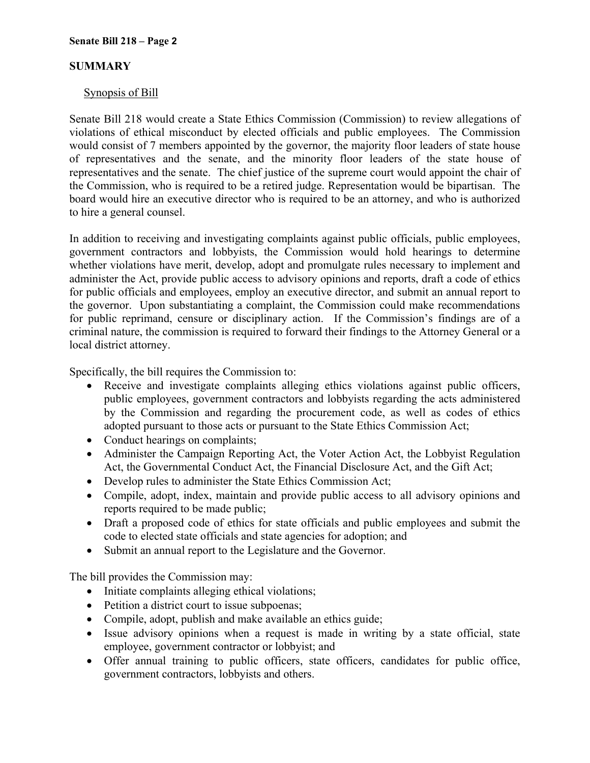# **SUMMARY**

### Synopsis of Bill

Senate Bill 218 would create a State Ethics Commission (Commission) to review allegations of violations of ethical misconduct by elected officials and public employees. The Commission would consist of 7 members appointed by the governor, the majority floor leaders of state house of representatives and the senate, and the minority floor leaders of the state house of representatives and the senate. The chief justice of the supreme court would appoint the chair of the Commission, who is required to be a retired judge. Representation would be bipartisan. The board would hire an executive director who is required to be an attorney, and who is authorized to hire a general counsel.

In addition to receiving and investigating complaints against public officials, public employees, government contractors and lobbyists, the Commission would hold hearings to determine whether violations have merit, develop, adopt and promulgate rules necessary to implement and administer the Act, provide public access to advisory opinions and reports, draft a code of ethics for public officials and employees, employ an executive director, and submit an annual report to the governor. Upon substantiating a complaint, the Commission could make recommendations for public reprimand, censure or disciplinary action. If the Commission's findings are of a criminal nature, the commission is required to forward their findings to the Attorney General or a local district attorney.

Specifically, the bill requires the Commission to:

- Receive and investigate complaints alleging ethics violations against public officers, public employees, government contractors and lobbyists regarding the acts administered by the Commission and regarding the procurement code, as well as codes of ethics adopted pursuant to those acts or pursuant to the State Ethics Commission Act;
- Conduct hearings on complaints;
- Administer the Campaign Reporting Act, the Voter Action Act, the Lobbyist Regulation Act, the Governmental Conduct Act, the Financial Disclosure Act, and the Gift Act;
- Develop rules to administer the State Ethics Commission Act;
- Compile, adopt, index, maintain and provide public access to all advisory opinions and reports required to be made public;
- Draft a proposed code of ethics for state officials and public employees and submit the code to elected state officials and state agencies for adoption; and
- Submit an annual report to the Legislature and the Governor.

The bill provides the Commission may:

- Initiate complaints alleging ethical violations;
- Petition a district court to issue subpoenas;
- Compile, adopt, publish and make available an ethics guide;
- Issue advisory opinions when a request is made in writing by a state official, state employee, government contractor or lobbyist; and
- Offer annual training to public officers, state officers, candidates for public office, government contractors, lobbyists and others.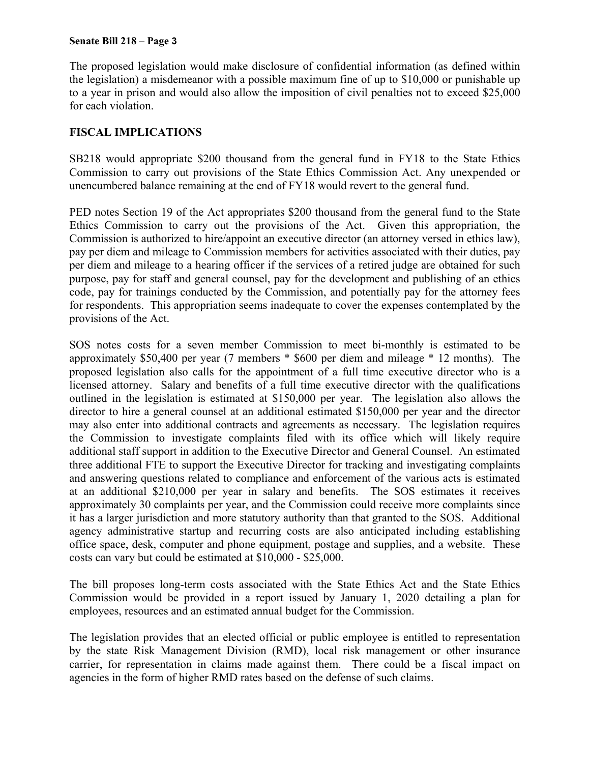The proposed legislation would make disclosure of confidential information (as defined within the legislation) a misdemeanor with a possible maximum fine of up to \$10,000 or punishable up to a year in prison and would also allow the imposition of civil penalties not to exceed \$25,000 for each violation.

## **FISCAL IMPLICATIONS**

SB218 would appropriate \$200 thousand from the general fund in FY18 to the State Ethics Commission to carry out provisions of the State Ethics Commission Act. Any unexpended or unencumbered balance remaining at the end of FY18 would revert to the general fund.

PED notes Section 19 of the Act appropriates \$200 thousand from the general fund to the State Ethics Commission to carry out the provisions of the Act. Given this appropriation, the Commission is authorized to hire/appoint an executive director (an attorney versed in ethics law), pay per diem and mileage to Commission members for activities associated with their duties, pay per diem and mileage to a hearing officer if the services of a retired judge are obtained for such purpose, pay for staff and general counsel, pay for the development and publishing of an ethics code, pay for trainings conducted by the Commission, and potentially pay for the attorney fees for respondents. This appropriation seems inadequate to cover the expenses contemplated by the provisions of the Act.

SOS notes costs for a seven member Commission to meet bi-monthly is estimated to be approximately \$50,400 per year (7 members \* \$600 per diem and mileage \* 12 months). The proposed legislation also calls for the appointment of a full time executive director who is a licensed attorney. Salary and benefits of a full time executive director with the qualifications outlined in the legislation is estimated at \$150,000 per year. The legislation also allows the director to hire a general counsel at an additional estimated \$150,000 per year and the director may also enter into additional contracts and agreements as necessary. The legislation requires the Commission to investigate complaints filed with its office which will likely require additional staff support in addition to the Executive Director and General Counsel. An estimated three additional FTE to support the Executive Director for tracking and investigating complaints and answering questions related to compliance and enforcement of the various acts is estimated at an additional \$210,000 per year in salary and benefits. The SOS estimates it receives approximately 30 complaints per year, and the Commission could receive more complaints since it has a larger jurisdiction and more statutory authority than that granted to the SOS. Additional agency administrative startup and recurring costs are also anticipated including establishing office space, desk, computer and phone equipment, postage and supplies, and a website. These costs can vary but could be estimated at \$10,000 - \$25,000.

The bill proposes long-term costs associated with the State Ethics Act and the State Ethics Commission would be provided in a report issued by January 1, 2020 detailing a plan for employees, resources and an estimated annual budget for the Commission.

The legislation provides that an elected official or public employee is entitled to representation by the state Risk Management Division (RMD), local risk management or other insurance carrier, for representation in claims made against them. There could be a fiscal impact on agencies in the form of higher RMD rates based on the defense of such claims.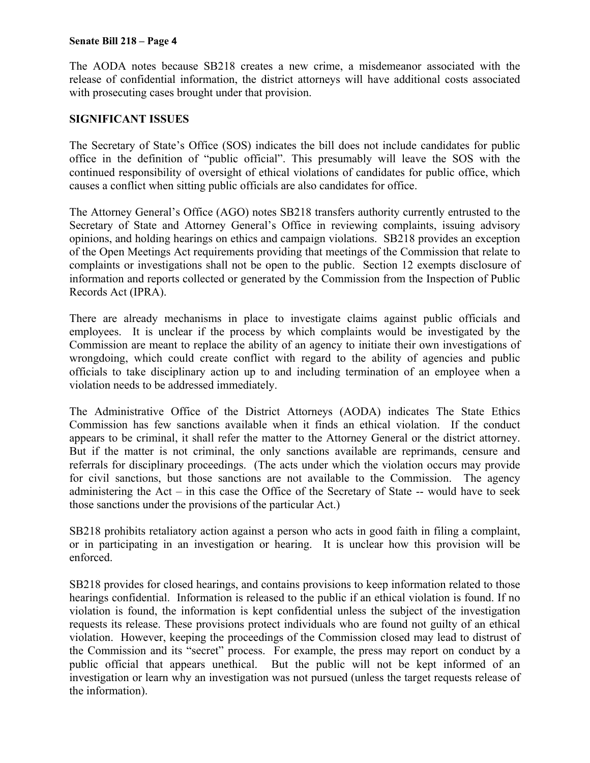The AODA notes because SB218 creates a new crime, a misdemeanor associated with the release of confidential information, the district attorneys will have additional costs associated with prosecuting cases brought under that provision.

### **SIGNIFICANT ISSUES**

The Secretary of State's Office (SOS) indicates the bill does not include candidates for public office in the definition of "public official". This presumably will leave the SOS with the continued responsibility of oversight of ethical violations of candidates for public office, which causes a conflict when sitting public officials are also candidates for office.

The Attorney General's Office (AGO) notes SB218 transfers authority currently entrusted to the Secretary of State and Attorney General's Office in reviewing complaints, issuing advisory opinions, and holding hearings on ethics and campaign violations. SB218 provides an exception of the Open Meetings Act requirements providing that meetings of the Commission that relate to complaints or investigations shall not be open to the public. Section 12 exempts disclosure of information and reports collected or generated by the Commission from the Inspection of Public Records Act (IPRA).

There are already mechanisms in place to investigate claims against public officials and employees. It is unclear if the process by which complaints would be investigated by the Commission are meant to replace the ability of an agency to initiate their own investigations of wrongdoing, which could create conflict with regard to the ability of agencies and public officials to take disciplinary action up to and including termination of an employee when a violation needs to be addressed immediately.

The Administrative Office of the District Attorneys (AODA) indicates The State Ethics Commission has few sanctions available when it finds an ethical violation. If the conduct appears to be criminal, it shall refer the matter to the Attorney General or the district attorney. But if the matter is not criminal, the only sanctions available are reprimands, censure and referrals for disciplinary proceedings. (The acts under which the violation occurs may provide for civil sanctions, but those sanctions are not available to the Commission. The agency administering the Act – in this case the Office of the Secretary of State -- would have to seek those sanctions under the provisions of the particular Act.)

SB218 prohibits retaliatory action against a person who acts in good faith in filing a complaint, or in participating in an investigation or hearing. It is unclear how this provision will be enforced.

SB218 provides for closed hearings, and contains provisions to keep information related to those hearings confidential. Information is released to the public if an ethical violation is found. If no violation is found, the information is kept confidential unless the subject of the investigation requests its release. These provisions protect individuals who are found not guilty of an ethical violation. However, keeping the proceedings of the Commission closed may lead to distrust of the Commission and its "secret" process. For example, the press may report on conduct by a public official that appears unethical. But the public will not be kept informed of an investigation or learn why an investigation was not pursued (unless the target requests release of the information).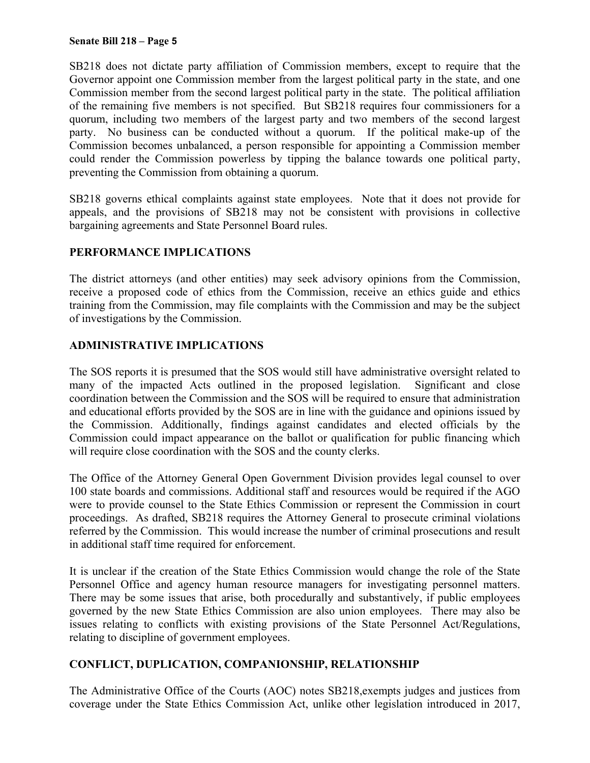SB218 does not dictate party affiliation of Commission members, except to require that the Governor appoint one Commission member from the largest political party in the state, and one Commission member from the second largest political party in the state. The political affiliation of the remaining five members is not specified. But SB218 requires four commissioners for a quorum, including two members of the largest party and two members of the second largest party. No business can be conducted without a quorum. If the political make-up of the Commission becomes unbalanced, a person responsible for appointing a Commission member could render the Commission powerless by tipping the balance towards one political party, preventing the Commission from obtaining a quorum.

SB218 governs ethical complaints against state employees. Note that it does not provide for appeals, and the provisions of SB218 may not be consistent with provisions in collective bargaining agreements and State Personnel Board rules.

### **PERFORMANCE IMPLICATIONS**

The district attorneys (and other entities) may seek advisory opinions from the Commission, receive a proposed code of ethics from the Commission, receive an ethics guide and ethics training from the Commission, may file complaints with the Commission and may be the subject of investigations by the Commission.

# **ADMINISTRATIVE IMPLICATIONS**

The SOS reports it is presumed that the SOS would still have administrative oversight related to many of the impacted Acts outlined in the proposed legislation. Significant and close coordination between the Commission and the SOS will be required to ensure that administration and educational efforts provided by the SOS are in line with the guidance and opinions issued by the Commission. Additionally, findings against candidates and elected officials by the Commission could impact appearance on the ballot or qualification for public financing which will require close coordination with the SOS and the county clerks.

The Office of the Attorney General Open Government Division provides legal counsel to over 100 state boards and commissions. Additional staff and resources would be required if the AGO were to provide counsel to the State Ethics Commission or represent the Commission in court proceedings. As drafted, SB218 requires the Attorney General to prosecute criminal violations referred by the Commission. This would increase the number of criminal prosecutions and result in additional staff time required for enforcement.

It is unclear if the creation of the State Ethics Commission would change the role of the State Personnel Office and agency human resource managers for investigating personnel matters. There may be some issues that arise, both procedurally and substantively, if public employees governed by the new State Ethics Commission are also union employees. There may also be issues relating to conflicts with existing provisions of the State Personnel Act/Regulations, relating to discipline of government employees.

### **CONFLICT, DUPLICATION, COMPANIONSHIP, RELATIONSHIP**

The Administrative Office of the Courts (AOC) notes SB218,exempts judges and justices from coverage under the State Ethics Commission Act, unlike other legislation introduced in 2017,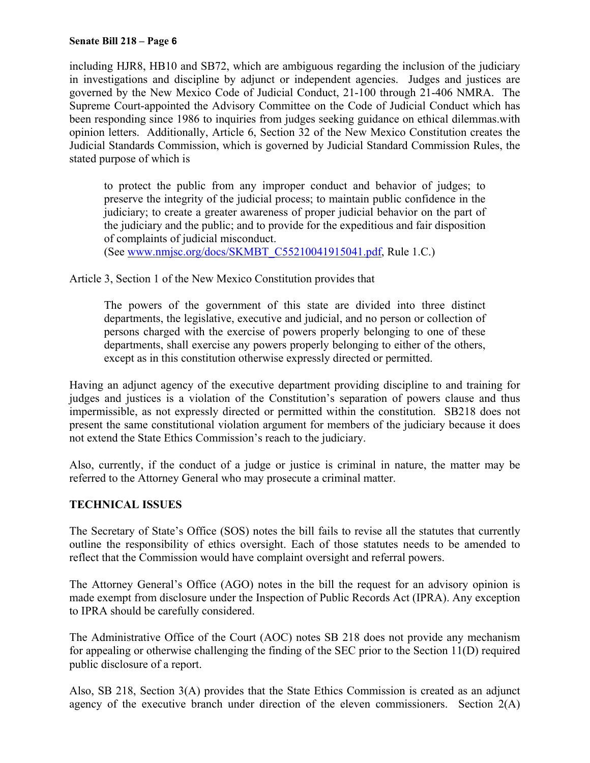including HJR8, HB10 and SB72, which are ambiguous regarding the inclusion of the judiciary in investigations and discipline by adjunct or independent agencies. Judges and justices are governed by the New Mexico Code of Judicial Conduct, 21-100 through 21-406 NMRA. The Supreme Court-appointed the Advisory Committee on the Code of Judicial Conduct which has been responding since 1986 to inquiries from judges seeking guidance on ethical dilemmas.with opinion letters. Additionally, Article 6, Section 32 of the New Mexico Constitution creates the Judicial Standards Commission, which is governed by Judicial Standard Commission Rules, the stated purpose of which is

to protect the public from any improper conduct and behavior of judges; to preserve the integrity of the judicial process; to maintain public confidence in the judiciary; to create a greater awareness of proper judicial behavior on the part of the judiciary and the public; and to provide for the expeditious and fair disposition of complaints of judicial misconduct.

(See www.nmjsc.org/docs/SKMBT\_C55210041915041.pdf, Rule 1.C.)

Article 3, Section 1 of the New Mexico Constitution provides that

The powers of the government of this state are divided into three distinct departments, the legislative, executive and judicial, and no person or collection of persons charged with the exercise of powers properly belonging to one of these departments, shall exercise any powers properly belonging to either of the others, except as in this constitution otherwise expressly directed or permitted.

Having an adjunct agency of the executive department providing discipline to and training for judges and justices is a violation of the Constitution's separation of powers clause and thus impermissible, as not expressly directed or permitted within the constitution. SB218 does not present the same constitutional violation argument for members of the judiciary because it does not extend the State Ethics Commission's reach to the judiciary.

Also, currently, if the conduct of a judge or justice is criminal in nature, the matter may be referred to the Attorney General who may prosecute a criminal matter.

### **TECHNICAL ISSUES**

The Secretary of State's Office (SOS) notes the bill fails to revise all the statutes that currently outline the responsibility of ethics oversight. Each of those statutes needs to be amended to reflect that the Commission would have complaint oversight and referral powers.

The Attorney General's Office (AGO) notes in the bill the request for an advisory opinion is made exempt from disclosure under the Inspection of Public Records Act (IPRA). Any exception to IPRA should be carefully considered.

The Administrative Office of the Court (AOC) notes SB 218 does not provide any mechanism for appealing or otherwise challenging the finding of the SEC prior to the Section 11(D) required public disclosure of a report.

Also, SB 218, Section 3(A) provides that the State Ethics Commission is created as an adjunct agency of the executive branch under direction of the eleven commissioners. Section 2(A)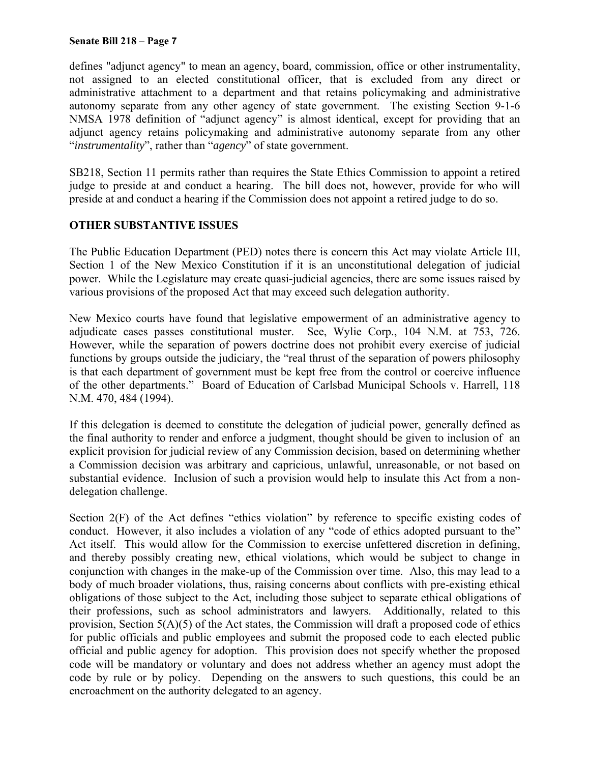defines "adjunct agency" to mean an agency, board, commission, office or other instrumentality, not assigned to an elected constitutional officer, that is excluded from any direct or administrative attachment to a department and that retains policymaking and administrative autonomy separate from any other agency of state government. The existing Section 9-1-6 NMSA 1978 definition of "adjunct agency" is almost identical, except for providing that an adjunct agency retains policymaking and administrative autonomy separate from any other "*instrumentality*", rather than "*agency*" of state government.

SB218, Section 11 permits rather than requires the State Ethics Commission to appoint a retired judge to preside at and conduct a hearing. The bill does not, however, provide for who will preside at and conduct a hearing if the Commission does not appoint a retired judge to do so.

### **OTHER SUBSTANTIVE ISSUES**

The Public Education Department (PED) notes there is concern this Act may violate Article III, Section 1 of the New Mexico Constitution if it is an unconstitutional delegation of judicial power. While the Legislature may create quasi-judicial agencies, there are some issues raised by various provisions of the proposed Act that may exceed such delegation authority.

New Mexico courts have found that legislative empowerment of an administrative agency to adjudicate cases passes constitutional muster. See, Wylie Corp., 104 N.M. at 753, 726. However, while the separation of powers doctrine does not prohibit every exercise of judicial functions by groups outside the judiciary, the "real thrust of the separation of powers philosophy is that each department of government must be kept free from the control or coercive influence of the other departments." Board of Education of Carlsbad Municipal Schools v. Harrell, 118 N.M. 470, 484 (1994).

If this delegation is deemed to constitute the delegation of judicial power, generally defined as the final authority to render and enforce a judgment, thought should be given to inclusion of an explicit provision for judicial review of any Commission decision, based on determining whether a Commission decision was arbitrary and capricious, unlawful, unreasonable, or not based on substantial evidence. Inclusion of such a provision would help to insulate this Act from a nondelegation challenge.

Section 2(F) of the Act defines "ethics violation" by reference to specific existing codes of conduct. However, it also includes a violation of any "code of ethics adopted pursuant to the" Act itself. This would allow for the Commission to exercise unfettered discretion in defining, and thereby possibly creating new, ethical violations, which would be subject to change in conjunction with changes in the make-up of the Commission over time. Also, this may lead to a body of much broader violations, thus, raising concerns about conflicts with pre-existing ethical obligations of those subject to the Act, including those subject to separate ethical obligations of their professions, such as school administrators and lawyers. Additionally, related to this provision, Section 5(A)(5) of the Act states, the Commission will draft a proposed code of ethics for public officials and public employees and submit the proposed code to each elected public official and public agency for adoption. This provision does not specify whether the proposed code will be mandatory or voluntary and does not address whether an agency must adopt the code by rule or by policy. Depending on the answers to such questions, this could be an encroachment on the authority delegated to an agency.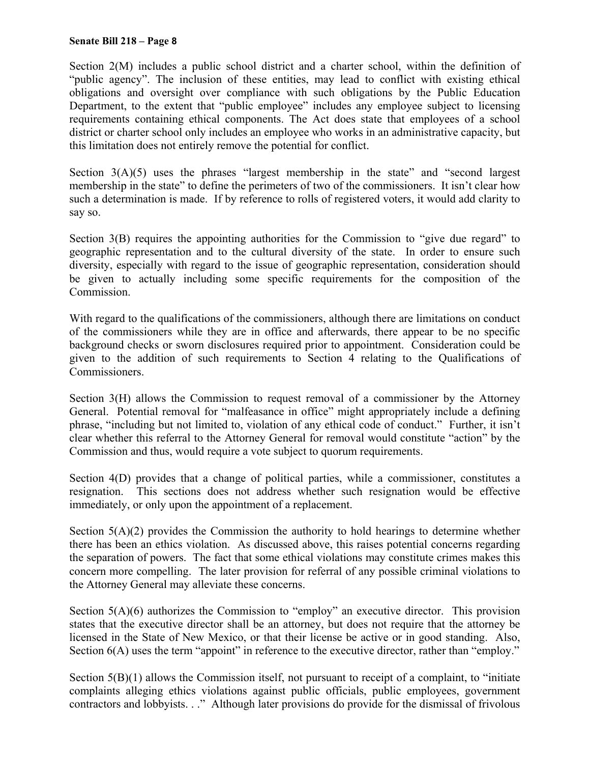Section 2(M) includes a public school district and a charter school, within the definition of "public agency". The inclusion of these entities, may lead to conflict with existing ethical obligations and oversight over compliance with such obligations by the Public Education Department, to the extent that "public employee" includes any employee subject to licensing requirements containing ethical components. The Act does state that employees of a school district or charter school only includes an employee who works in an administrative capacity, but this limitation does not entirely remove the potential for conflict.

Section 3(A)(5) uses the phrases "largest membership in the state" and "second largest membership in the state" to define the perimeters of two of the commissioners. It isn't clear how such a determination is made. If by reference to rolls of registered voters, it would add clarity to say so.

Section 3(B) requires the appointing authorities for the Commission to "give due regard" to geographic representation and to the cultural diversity of the state. In order to ensure such diversity, especially with regard to the issue of geographic representation, consideration should be given to actually including some specific requirements for the composition of the Commission.

With regard to the qualifications of the commissioners, although there are limitations on conduct of the commissioners while they are in office and afterwards, there appear to be no specific background checks or sworn disclosures required prior to appointment. Consideration could be given to the addition of such requirements to Section 4 relating to the Qualifications of Commissioners.

Section 3(H) allows the Commission to request removal of a commissioner by the Attorney General. Potential removal for "malfeasance in office" might appropriately include a defining phrase, "including but not limited to, violation of any ethical code of conduct." Further, it isn't clear whether this referral to the Attorney General for removal would constitute "action" by the Commission and thus, would require a vote subject to quorum requirements.

Section 4(D) provides that a change of political parties, while a commissioner, constitutes a resignation. This sections does not address whether such resignation would be effective immediately, or only upon the appointment of a replacement.

Section  $5(A)(2)$  provides the Commission the authority to hold hearings to determine whether there has been an ethics violation. As discussed above, this raises potential concerns regarding the separation of powers. The fact that some ethical violations may constitute crimes makes this concern more compelling. The later provision for referral of any possible criminal violations to the Attorney General may alleviate these concerns.

Section 5(A)(6) authorizes the Commission to "employ" an executive director. This provision states that the executive director shall be an attorney, but does not require that the attorney be licensed in the State of New Mexico, or that their license be active or in good standing. Also, Section  $6(A)$  uses the term "appoint" in reference to the executive director, rather than "employ."

Section 5(B)(1) allows the Commission itself, not pursuant to receipt of a complaint, to "initiate" complaints alleging ethics violations against public officials, public employees, government contractors and lobbyists. . ." Although later provisions do provide for the dismissal of frivolous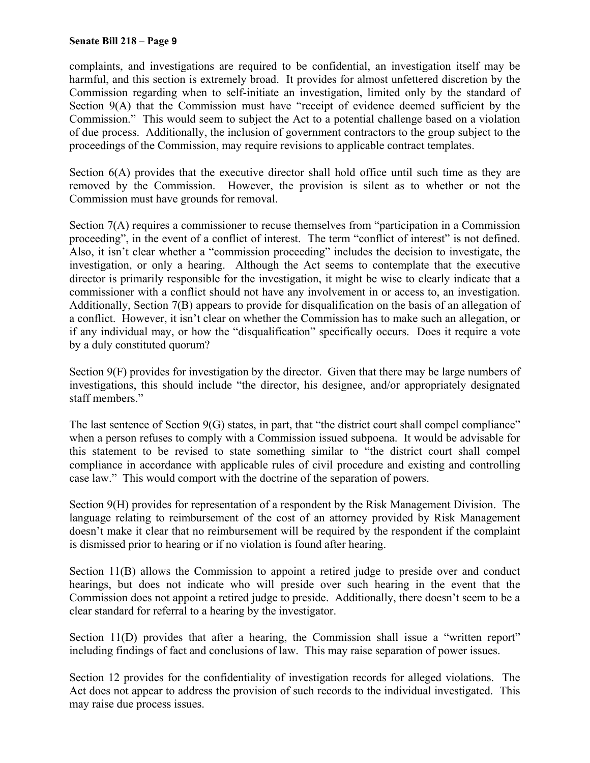complaints, and investigations are required to be confidential, an investigation itself may be harmful, and this section is extremely broad. It provides for almost unfettered discretion by the Commission regarding when to self-initiate an investigation, limited only by the standard of Section 9(A) that the Commission must have "receipt of evidence deemed sufficient by the Commission." This would seem to subject the Act to a potential challenge based on a violation of due process. Additionally, the inclusion of government contractors to the group subject to the proceedings of the Commission, may require revisions to applicable contract templates.

Section  $6(A)$  provides that the executive director shall hold office until such time as they are removed by the Commission. However, the provision is silent as to whether or not the Commission must have grounds for removal.

Section 7(A) requires a commissioner to recuse themselves from "participation in a Commission proceeding", in the event of a conflict of interest. The term "conflict of interest" is not defined. Also, it isn't clear whether a "commission proceeding" includes the decision to investigate, the investigation, or only a hearing. Although the Act seems to contemplate that the executive director is primarily responsible for the investigation, it might be wise to clearly indicate that a commissioner with a conflict should not have any involvement in or access to, an investigation. Additionally, Section 7(B) appears to provide for disqualification on the basis of an allegation of a conflict. However, it isn't clear on whether the Commission has to make such an allegation, or if any individual may, or how the "disqualification" specifically occurs. Does it require a vote by a duly constituted quorum?

Section 9(F) provides for investigation by the director. Given that there may be large numbers of investigations, this should include "the director, his designee, and/or appropriately designated staff members."

The last sentence of Section 9(G) states, in part, that "the district court shall compel compliance" when a person refuses to comply with a Commission issued subpoena. It would be advisable for this statement to be revised to state something similar to "the district court shall compel compliance in accordance with applicable rules of civil procedure and existing and controlling case law." This would comport with the doctrine of the separation of powers.

Section 9(H) provides for representation of a respondent by the Risk Management Division. The language relating to reimbursement of the cost of an attorney provided by Risk Management doesn't make it clear that no reimbursement will be required by the respondent if the complaint is dismissed prior to hearing or if no violation is found after hearing.

Section 11(B) allows the Commission to appoint a retired judge to preside over and conduct hearings, but does not indicate who will preside over such hearing in the event that the Commission does not appoint a retired judge to preside. Additionally, there doesn't seem to be a clear standard for referral to a hearing by the investigator.

Section 11(D) provides that after a hearing, the Commission shall issue a "written report" including findings of fact and conclusions of law. This may raise separation of power issues.

Section 12 provides for the confidentiality of investigation records for alleged violations. The Act does not appear to address the provision of such records to the individual investigated. This may raise due process issues.